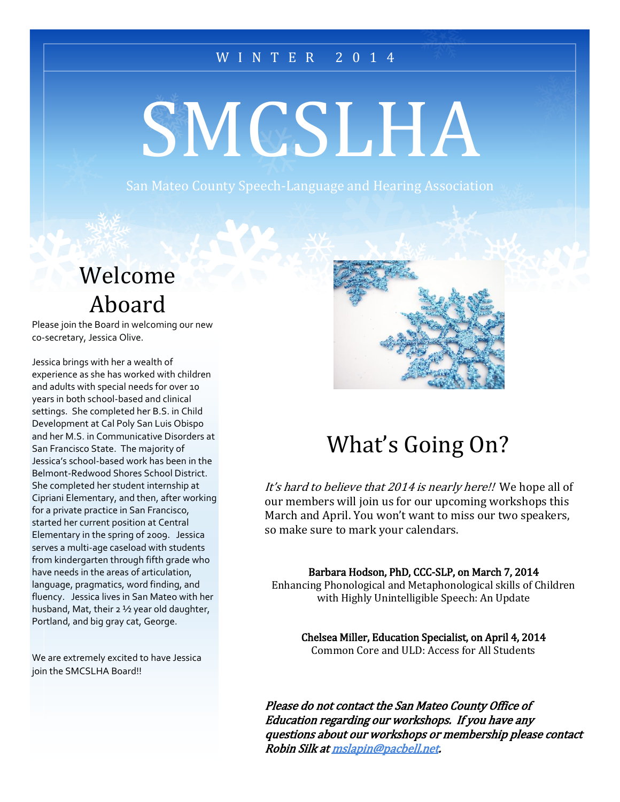#### W I N T E R 2 0 1 4

# **SMCSLHA**

# Welcome Aboard

Please join the Board in welcoming our new co-secretary, Jessica Olive.

Jessica brings with her a wealth of experience as she has worked with children and adults with special needs for over 10 years in both school-based and clinical settings. She completed her B.S. in Child Development at Cal Poly San Luis Obispo and her M.S. in Communicative Disorders at San Francisco State. The majority of Jessica's school-based work has been in the Belmont-Redwood Shores School District. She completed her student internship at Cipriani Elementary, and then, after working for a private practice in San Francisco, started her current position at Central Elementary in the spring of 2009. Jessica serves a multi-age caseload with students from kindergarten through fifth grade who have needs in the areas of articulation, language, pragmatics, word finding, and fluency. Jessica lives in San Mateo with her husband, Mat, their 2 ½ year old daughter, Portland, and big gray cat, George.

We are extremely excited to have Jessica join the SMCSLHA Board!!



# What's Going On?

It's hard to believe that 2014 is nearly here!! We hope all of our members will join us for our upcoming workshops this March and April. You won't want to miss our two speakers, so make sure to mark your calendars.

Barbara Hodson, PhD, CCC-SLP, on March 7, 2014

Enhancing Phonological and Metaphonological skills of Children with Highly Unintelligible Speech: An Update

Chelsea Miller, Education Specialist, on April 4, 2014 Common Core and ULD: Access for All Students

Please do not contact the San Mateo County Office of Education regarding our workshops. If you have any questions about our workshops or membership please contact Robin Silk at mslapin@pacbell.net.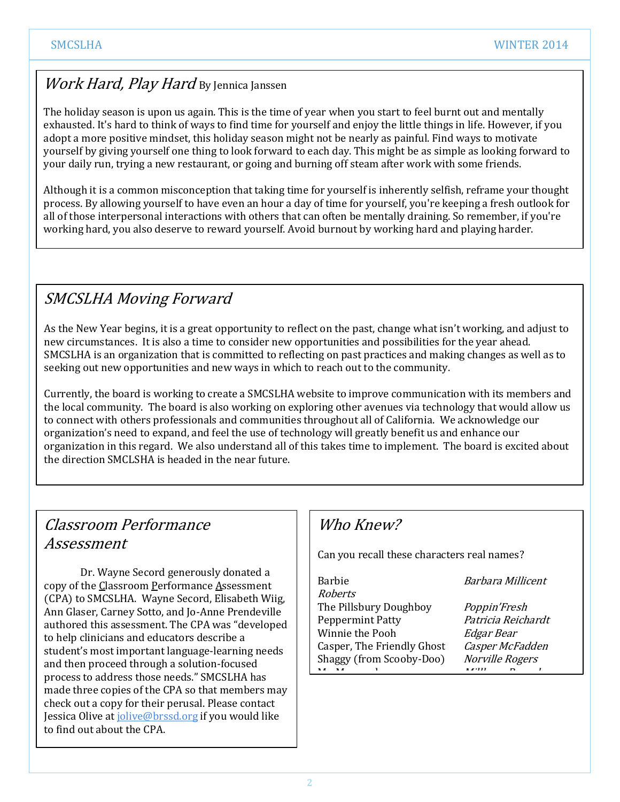#### Work Hard, Play Hard By Jennica Janssen

The holiday season is upon us again. This is the time of year when you start to feel burnt out and mentally exhausted. It's hard to think of ways to find time for yourself and enjoy the little things in life. However, if you adopt a more positive mindset, this holiday season might not be nearly as painful. Find ways to motivate yourself by giving yourself one thing to look forward to each day. This might be as simple as looking forward to your daily run, trying a new restaurant, or going and burning off steam after work with some friends.

Although it is a common misconception that taking time for yourself is inherently selfish, reframe your thought process. By allowing yourself to have even an hour a day of time for yourself, you're keeping a fresh outlook for all of those interpersonal interactions with others that can often be mentally draining. So remember, if you're working hard, you also deserve to reward yourself. Avoid burnout by working hard and playing harder.

#### SMCSLHA Moving Forward

As the New Year begins, it is a great opportunity to reflect on the past, change what isn't working, and adjust to new circumstances. It is also a time to consider new opportunities and possibilities for the year ahead. SMCSLHA is an organization that is committed to reflecting on past practices and making changes as well as to seeking out new opportunities and new ways in which to reach out to the community.

Currently, the board is working to create a SMCSLHA website to improve communication with its members and the local community. The board is also working on exploring other avenues via technology that would allow us to connect with others professionals and communities throughout all of California. We acknowledge our organization's need to expand, and feel the use of technology will greatly benefit us and enhance our organization in this regard. We also understand all of this takes time to implement. The board is excited about the direction SMCLSHA is headed in the near future.

#### Classroom Performance Assessment

Dr. Wayne Secord generously donated a copy of the Classroom Performance Assessment (CPA) to SMCSLHA. Wayne Secord, Elisabeth Wiig, Ann Glaser, Carney Sotto, and Jo-Anne Prendeville authored this assessment. The CPA was "developed to help clinicians and educators describe a student's most important language-learning needs and then proceed through a solution-focused process to address those needs." SMCSLHA has made three copies of the CPA so that members may check out a copy for their perusal. Please contact Jessica Olive at jolive@brssd.org if you would like to find out about the CPA.

#### Who Knew?

Can you recall these characters real names?

| <b>Roberts</b>             |                        |
|----------------------------|------------------------|
| The Pillsbury Doughboy     | Poppin'Fresh           |
| <b>Peppermint Patty</b>    | Patricia Reichardt     |
| Winnie the Pooh            | Edgar Bear             |
| Casper, The Friendly Ghost | Casper McFadden        |
| Shaggy (from Scooby-Doo)   | <b>Norville Rogers</b> |
|                            | $\mathbf{r}$           |

Barbara Millicent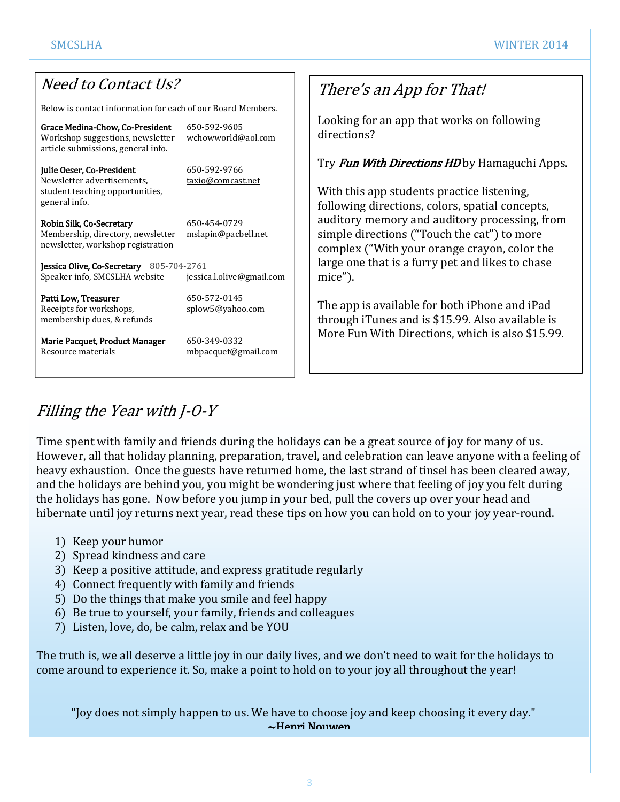#### Need to Contact Us?

Below is contact information for each of our Board Members.

| Grace Medina-Chow, Co-President<br>Workshop suggestions, newsletter<br>article submissions, general info.   | 650-592-9605<br>wchowworld@aol.com  |  |
|-------------------------------------------------------------------------------------------------------------|-------------------------------------|--|
| Julie Oeser, Co-President<br>Newsletter advertisements,<br>student teaching opportunities,<br>general info. | 650-592-9766<br>taxio@comcast.net   |  |
| Robin Silk, Co-Secretary<br>Membership, directory, newsletter<br>newsletter, workshop registration          | 650-454-0729<br>mslapin@pacbell.net |  |
| <b>Jessica Olive, Co-Secretary</b> $805-704-2761$<br>Speaker info, SMCSLHA website                          | jessica.l.olive@gmail.com           |  |
| Patti Low, Treasurer<br>Receipts for workshops,<br>membership dues, & refunds                               | 650-572-0145<br>splow5@yahoo.com    |  |
| Marie Pacquet, Product Manager<br>Resource materials                                                        | 650-349-0332<br>mbpacquet@gmail.com |  |

#### There's an App for That!

Looking for an app that works on following directions?

Try **Fun With Directions HD** by Hamaguchi Apps.

With this app students practice listening, following directions, colors, spatial concepts, auditory memory and auditory processing, from simple directions ("Touch the cat") to more complex ("With your orange crayon, color the large one that is a furry pet and likes to chase mice").

The app is available for both iPhone and iPad through iTunes and is \$15.99. Also available is More Fun With Directions, which is also \$15.99.

### Filling the Year with J-O-Y

Time spent with family and friends during the holidays can be a great source of joy for many of us. However, all that holiday planning, preparation, travel, and celebration can leave anyone with a feeling of heavy exhaustion. Once the guests have returned home, the last strand of tinsel has been cleared away, and the holidays are behind you, you might be wondering just where that feeling of joy you felt during the holidays has gone. Now before you jump in your bed, pull the covers up over your head and hibernate until joy returns next year, read these tips on how you can hold on to your joy year-round.

- 1) Keep your humor
- 2) Spread kindness and care
- 3) Keep a positive attitude, and express gratitude regularly
- 4) Connect frequently with family and friends
- 5) Do the things that make you smile and feel happy
- 6) Be true to yourself, your family, friends and colleagues
- 7) Listen, love, do, be calm, relax and be YOU

The truth is, we all deserve a little joy in our daily lives, and we don't need to wait for the holidays to come around to experience it. So, make a point to hold on to your joy all throughout the year!

"Joy does not simply happen to us. We have to choose joy and keep choosing it every day." ~Henri Nouwen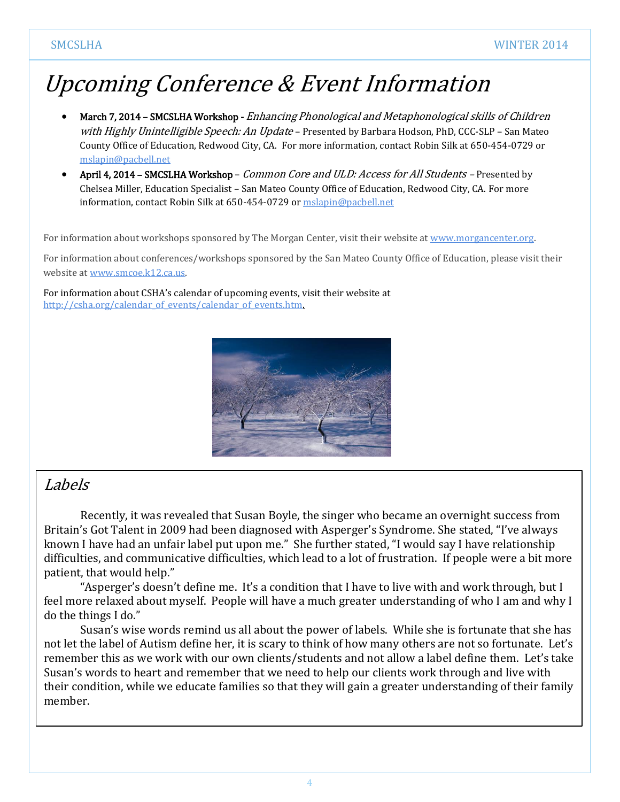# Upcoming Conference & Event Information

- March 7, 2014 SMCSLHA Workshop Enhancing Phonological and Metaphonological skills of Children with Highly Unintelligible Speech: An Update – Presented by Barbara Hodson, PhD, CCC-SLP – San Mateo County Office of Education, Redwood City, CA. For more information, contact Robin Silk at 650-454-0729 or mslapin@pacbell.net
- April 4, 2014 SMCSLHA Workshop *Common Core and ULD: Access for All Students* Presented by Chelsea Miller, Education Specialist – San Mateo County Office of Education, Redwood City, CA. For more information, contact Robin Silk at 650-454-0729 or mslapin@pacbell.net

For information about workshops sponsored by The Morgan Center, visit their website at www.morgancenter.org.

For information about conferences/workshops sponsored by the San Mateo County Office of Education, please visit their website at www.smcoe.k12.ca.us.

For information about CSHA's calendar of upcoming events, visit their website at http://csha.org/calendar\_of\_events/calendar\_of\_events.htm.



#### Labels

Recently, it was revealed that Susan Boyle, the singer who became an overnight success from Britain's Got Talent in 2009 had been diagnosed with Asperger's Syndrome. She stated, "I've always known I have had an unfair label put upon me." She further stated, "I would say I have relationship difficulties, and communicative difficulties, which lead to a lot of frustration. If people were a bit more patient, that would help."

"Asperger's doesn't define me. It's a condition that I have to live with and work through, but I feel more relaxed about myself. People will have a much greater understanding of who I am and why I do the things I do."

Susan's wise words remind us all about the power of labels. While she is fortunate that she has not let the label of Autism define her, it is scary to think of how many others are not so fortunate. Let's remember this as we work with our own clients/students and not allow a label define them. Let's take Susan's words to heart and remember that we need to help our clients work through and live with their condition, while we educate families so that they will gain a greater understanding of their family member.